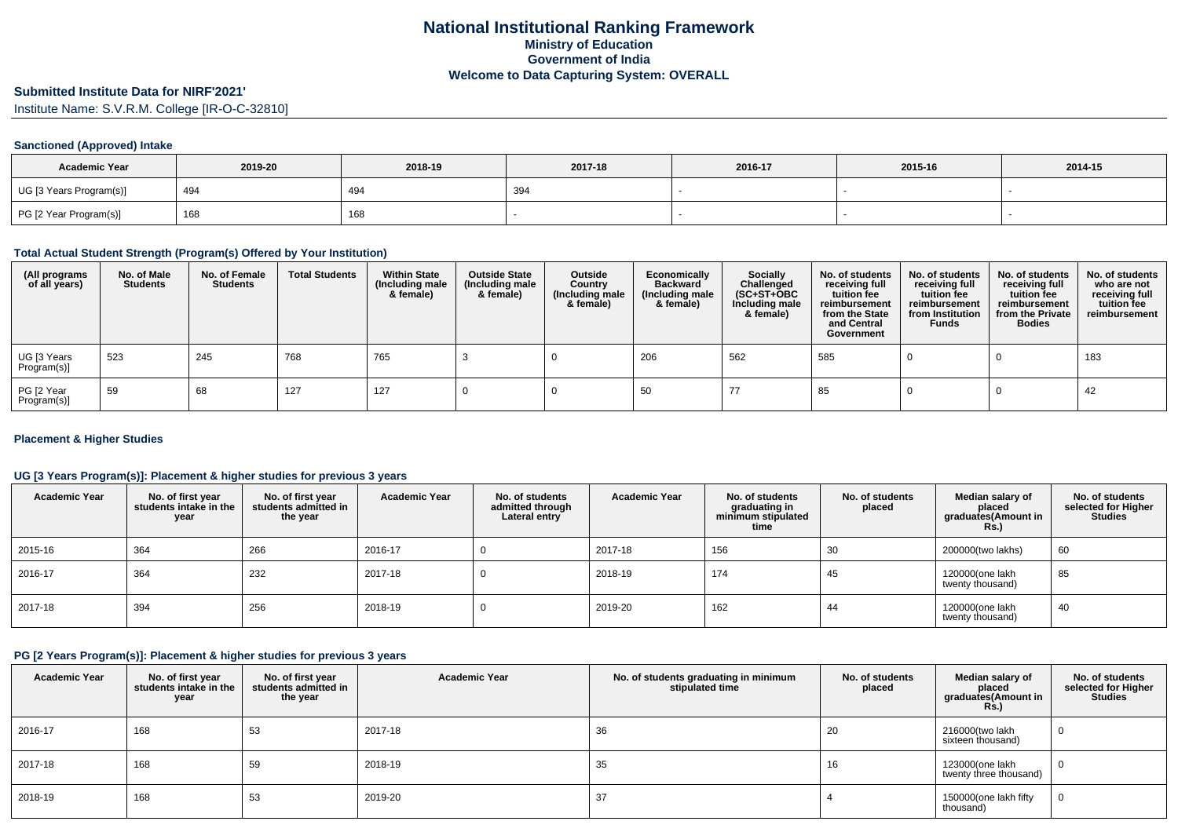# **Submitted Institute Data for NIRF'2021'**

Institute Name: S.V.R.M. College [IR-O-C-32810]

### **Sanctioned (Approved) Intake**

| <b>Academic Year</b>    | 2019-20 | 2018-19 | 2017-18 | 2016-17 | 2015-16 | 2014-15 |
|-------------------------|---------|---------|---------|---------|---------|---------|
| UG [3 Years Program(s)] | 494     | 494     | 394     |         |         |         |
| PG [2 Year Program(s)]  | 168     | 168     |         |         |         |         |

#### **Total Actual Student Strength (Program(s) Offered by Your Institution)**

| (All programs<br>of all years) | No. of Male<br><b>Students</b> | No. of Female<br><b>Students</b> | <b>Total Students</b> | <b>Within State</b><br>(Including male<br>& female) | <b>Outside State</b><br>(Including male<br>& female) | Outside<br>Country<br>(Including male<br>& female) | Economically<br><b>Backward</b><br>(Including male<br>& female) | <b>Socially</b><br>Challenged<br>$(SC+ST+OBC)$<br>Including male<br>& female) | No. of students<br>receiving full<br>tuition fee<br>reimbursement<br>from the State<br>and Central<br>Government | No. of students<br>receiving full<br>tuition fee<br>reimbursement<br>from Institution<br><b>Funds</b> | No. of students<br>receiving full<br>tuition fee<br>reimbursement<br>from the Private<br><b>Bodies</b> | No. of students<br>who are not<br>receiving full<br>tuition fee<br>reimbursement |
|--------------------------------|--------------------------------|----------------------------------|-----------------------|-----------------------------------------------------|------------------------------------------------------|----------------------------------------------------|-----------------------------------------------------------------|-------------------------------------------------------------------------------|------------------------------------------------------------------------------------------------------------------|-------------------------------------------------------------------------------------------------------|--------------------------------------------------------------------------------------------------------|----------------------------------------------------------------------------------|
| UG [3 Years<br>Program(s)]     | 523                            | 245                              | 768                   | 765                                                 |                                                      |                                                    | 206                                                             | 562                                                                           | 585                                                                                                              |                                                                                                       |                                                                                                        | 183                                                                              |
| PG [2 Year<br>Program(s)]      | 59                             | 68                               | 127                   | 127                                                 |                                                      |                                                    | 50                                                              |                                                                               | 85                                                                                                               |                                                                                                       |                                                                                                        | 42                                                                               |

#### **Placement & Higher Studies**

### **UG [3 Years Program(s)]: Placement & higher studies for previous 3 years**

| <b>Academic Year</b> | No. of first year<br>students intake in the<br>year | No. of first vear<br>students admitted in<br>the year | <b>Academic Year</b> | No. of students<br>admitted through<br>Lateral entry | <b>Academic Year</b> | No. of students<br>graduating in<br>minimum stipulated<br>time | No. of students<br>placed | Median salary of<br>placed<br>graduates(Amount in<br>Rs. | No. of students<br>selected for Higher<br><b>Studies</b> |
|----------------------|-----------------------------------------------------|-------------------------------------------------------|----------------------|------------------------------------------------------|----------------------|----------------------------------------------------------------|---------------------------|----------------------------------------------------------|----------------------------------------------------------|
| 2015-16              | 364                                                 | 266                                                   | 2016-17              |                                                      | 2017-18              | 156                                                            | 30                        | 200000(two lakhs)                                        | 60                                                       |
| 2016-17              | 364                                                 | 232                                                   | 2017-18              |                                                      | 2018-19              | 174                                                            | 45                        | 120000(one lakh<br>twenty thousand)                      | 85                                                       |
| 2017-18              | 394                                                 | 256                                                   | 2018-19              |                                                      | 2019-20              | 162                                                            | 44                        | 120000(one lakh<br>twenty thousand)                      | 40                                                       |

## **PG [2 Years Program(s)]: Placement & higher studies for previous 3 years**

| <b>Academic Year</b> | No. of first year<br>students intake in the<br>year | No. of first year<br>students admitted in<br>the year | <b>Academic Year</b> | No. of students graduating in minimum<br>stipulated time | No. of students<br>placed | Median salary of<br>placed<br>graduates(Amount in<br><b>Rs.)</b> | No. of students<br>selected for Higher<br><b>Studies</b> |
|----------------------|-----------------------------------------------------|-------------------------------------------------------|----------------------|----------------------------------------------------------|---------------------------|------------------------------------------------------------------|----------------------------------------------------------|
| 2016-17              | 168                                                 | 53                                                    | 2017-18              | 36                                                       | 20                        | 216000(two lakh<br>sixteen thousand)                             |                                                          |
| 2017-18              | 168                                                 | 59                                                    | 2018-19              | 35                                                       | 16                        | 123000(one lakh<br>twenty three thousand)                        |                                                          |
| 2018-19              | 168                                                 | 53                                                    | 2019-20              | 37                                                       |                           | 150000(one lakh fifty<br>thousand)                               |                                                          |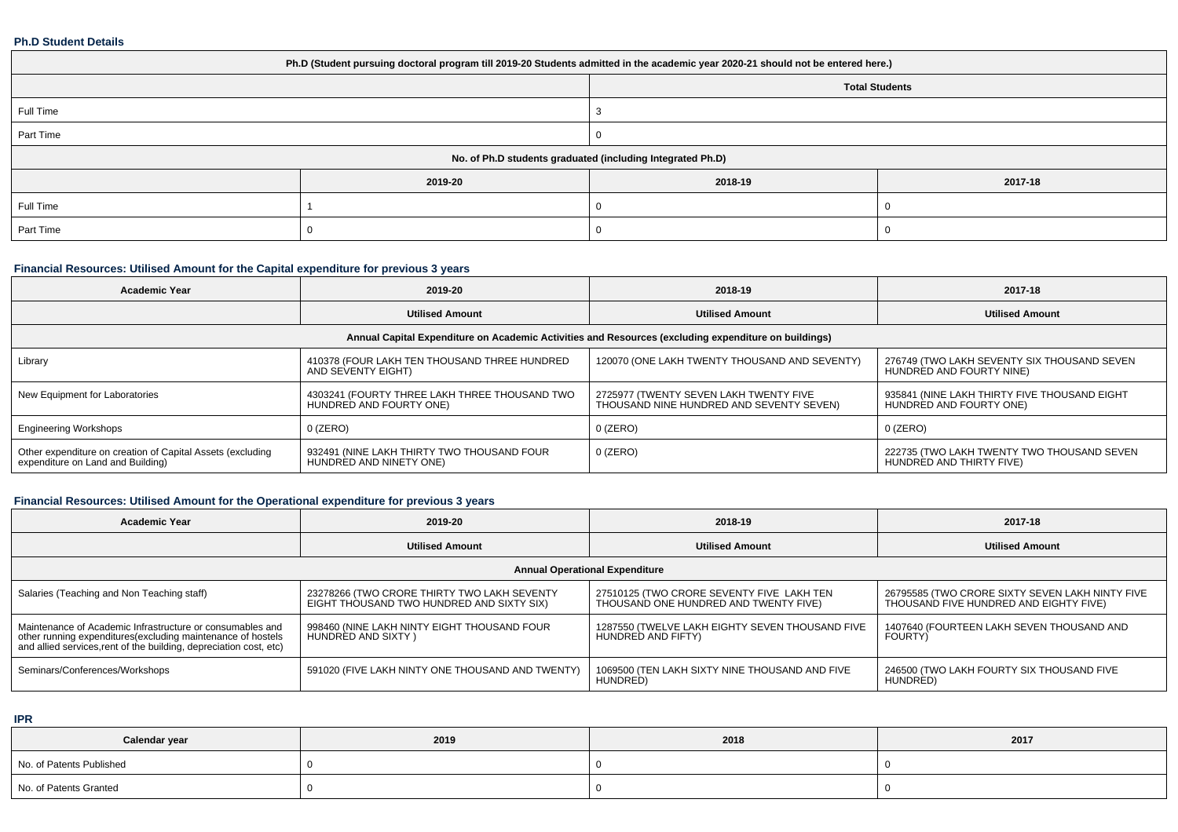#### **Ph.D Student Details**

| Ph.D (Student pursuing doctoral program till 2019-20 Students admitted in the academic year 2020-21 should not be entered here.) |         |         |                       |  |  |
|----------------------------------------------------------------------------------------------------------------------------------|---------|---------|-----------------------|--|--|
|                                                                                                                                  |         |         | <b>Total Students</b> |  |  |
| Full Time                                                                                                                        |         |         |                       |  |  |
| Part Time                                                                                                                        |         |         |                       |  |  |
| No. of Ph.D students graduated (including Integrated Ph.D)                                                                       |         |         |                       |  |  |
|                                                                                                                                  | 2019-20 | 2018-19 | 2017-18               |  |  |
| Full Time                                                                                                                        |         |         |                       |  |  |
| Part Time                                                                                                                        |         |         |                       |  |  |

## **Financial Resources: Utilised Amount for the Capital expenditure for previous 3 years**

| <b>Academic Year</b>                                                                                 | 2019-20                                                                  | 2018-19                                                                            | 2017-18                                                                 |  |  |  |
|------------------------------------------------------------------------------------------------------|--------------------------------------------------------------------------|------------------------------------------------------------------------------------|-------------------------------------------------------------------------|--|--|--|
|                                                                                                      | <b>Utilised Amount</b>                                                   | <b>Utilised Amount</b>                                                             | <b>Utilised Amount</b>                                                  |  |  |  |
| Annual Capital Expenditure on Academic Activities and Resources (excluding expenditure on buildings) |                                                                          |                                                                                    |                                                                         |  |  |  |
| Library                                                                                              | 410378 (FOUR LAKH TEN THOUSAND THREE HUNDRED<br>AND SEVENTY EIGHT)       | 120070 (ONE LAKH TWENTY THOUSAND AND SEVENTY)                                      | 276749 (TWO LAKH SEVENTY SIX THOUSAND SEVEN<br>HUNDRED AND FOURTY NINE) |  |  |  |
| New Equipment for Laboratories                                                                       | 4303241 (FOURTY THREE LAKH THREE THOUSAND TWO<br>HUNDRED AND FOURTY ONE) | 2725977 (TWENTY SEVEN LAKH TWENTY FIVE<br>THOUSAND NINE HUNDRED AND SEVENTY SEVEN) | 935841 (NINE LAKH THIRTY FIVE THOUSAND EIGHT<br>HUNDRED AND FOURTY ONE) |  |  |  |
| <b>Engineering Workshops</b>                                                                         | 0 (ZERO)                                                                 | $0$ (ZERO)                                                                         | $0$ (ZERO)                                                              |  |  |  |
| Other expenditure on creation of Capital Assets (excluding<br>expenditure on Land and Building)      | 932491 (NINE LAKH THIRTY TWO THOUSAND FOUR<br>HUNDRÈD AND NINETY ONE)    | $0$ (ZERO)                                                                         | 222735 (TWO LAKH TWENTY TWO THOUSAND SEVEN<br>HUNDRED AND THIRTY FIVE)  |  |  |  |

## **Financial Resources: Utilised Amount for the Operational expenditure for previous 3 years**

| <b>Academic Year</b>                                                                                                                                                                            | 2019-20                                                                                  | 2018-19                                                                            | 2017-18                                                                                   |  |  |  |
|-------------------------------------------------------------------------------------------------------------------------------------------------------------------------------------------------|------------------------------------------------------------------------------------------|------------------------------------------------------------------------------------|-------------------------------------------------------------------------------------------|--|--|--|
|                                                                                                                                                                                                 | <b>Utilised Amount</b>                                                                   | <b>Utilised Amount</b>                                                             | <b>Utilised Amount</b>                                                                    |  |  |  |
| <b>Annual Operational Expenditure</b>                                                                                                                                                           |                                                                                          |                                                                                    |                                                                                           |  |  |  |
| Salaries (Teaching and Non Teaching staff)                                                                                                                                                      | 23278266 (TWO CRORE THIRTY TWO LAKH SEVENTY<br>EIGHT THOUSAND TWO HUNDRED AND SIXTY SIX) | 27510125 (TWO CRORE SEVENTY FIVE LAKH TEN<br>THOUSAND ONE HUNDRED AND TWENTY FIVE) | 26795585 (TWO CRORE SIXTY SEVEN LAKH NINTY FIVE<br>THOUSAND FIVE HUNDRED AND EIGHTY FIVE) |  |  |  |
| Maintenance of Academic Infrastructure or consumables and<br>other running expenditures (excluding maintenance of hostels<br>and allied services, rent of the building, depreciation cost, etc) | 998460 (NINE LAKH NINTY EIGHT THOUSAND FOUR<br>HUNDRED AND SIXTY)                        | 1287550 (TWELVE LAKH EIGHTY SEVEN THOUSAND FIVE<br>HUNDRED AND FIFTY)              | 1407640 (FOURTEEN LAKH SEVEN THOUSAND AND<br><b>FOURTY)</b>                               |  |  |  |
| Seminars/Conferences/Workshops                                                                                                                                                                  | 591020 (FIVE LAKH NINTY ONE THOUSAND AND TWENTY)                                         | 1069500 (TEN LAKH SIXTY NINE THOUSAND AND FIVE<br>HUNDRED)                         | 246500 (TWO LAKH FOURTY SIX THOUSAND FIVE<br>HUNDRÈD)                                     |  |  |  |

## **IPR**

| Calendar year            | 2019 | 2018 | 2017 |
|--------------------------|------|------|------|
| No. of Patents Published |      |      |      |
| No. of Patents Granted   |      |      |      |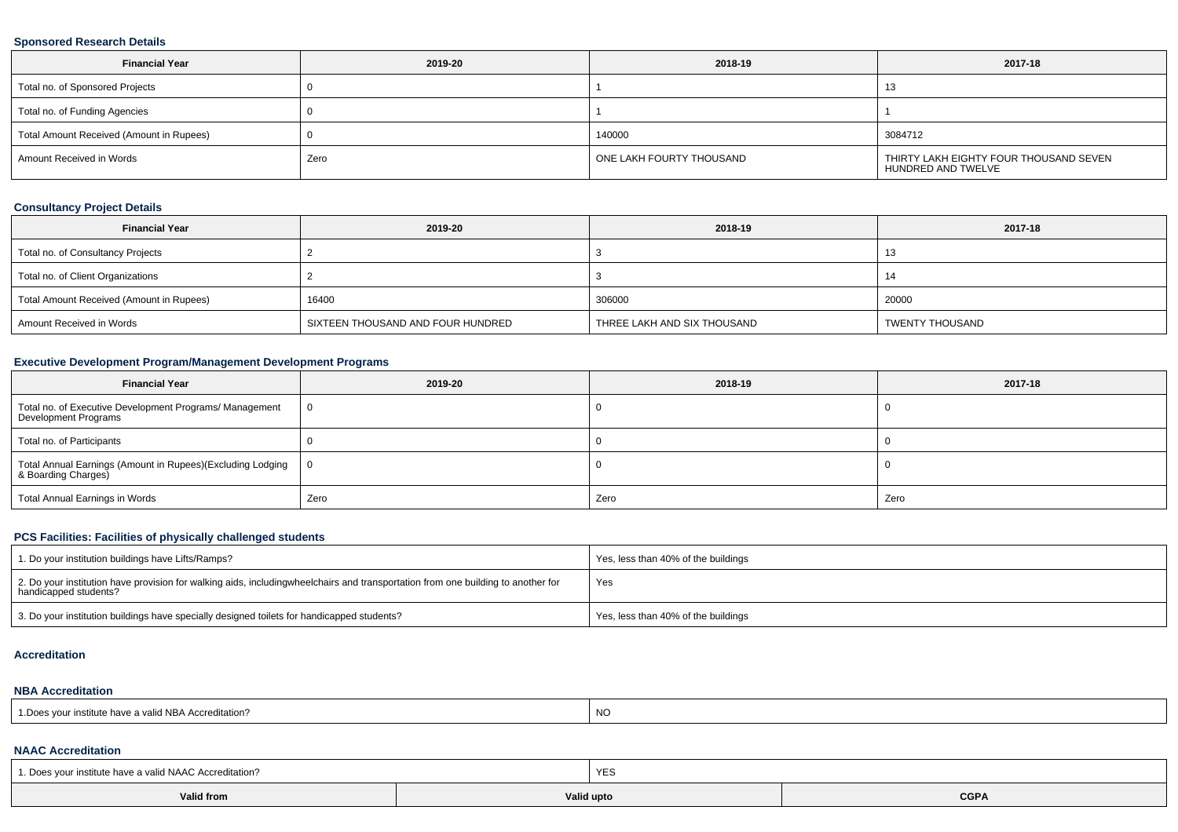#### **Sponsored Research Details**

| <b>Financial Year</b>                    | 2019-20 | 2018-19                  | 2017-18                                                      |
|------------------------------------------|---------|--------------------------|--------------------------------------------------------------|
| Total no. of Sponsored Projects          |         |                          |                                                              |
| Total no. of Funding Agencies            |         |                          |                                                              |
| Total Amount Received (Amount in Rupees) |         | 140000                   | 3084712                                                      |
| Amount Received in Words                 | Zero    | ONE LAKH FOURTY THOUSAND | THIRTY LAKH EIGHTY FOUR THOUSAND SEVEN<br>HUNDRED AND TWELVE |

## **Consultancy Project Details**

| <b>Financial Year</b>                    | 2019-20                           | 2018-19                     | 2017-18         |
|------------------------------------------|-----------------------------------|-----------------------------|-----------------|
| Total no. of Consultancy Projects        |                                   |                             |                 |
| Total no. of Client Organizations        |                                   |                             |                 |
| Total Amount Received (Amount in Rupees) | 16400                             | 306000                      | 20000           |
| Amount Received in Words                 | SIXTEEN THOUSAND AND FOUR HUNDRED | THREE LAKH AND SIX THOUSAND | TWENTY THOUSAND |

## **Executive Development Program/Management Development Programs**

| <b>Financial Year</b>                                                             | 2019-20        | 2018-19 | 2017-18 |
|-----------------------------------------------------------------------------------|----------------|---------|---------|
| Total no. of Executive Development Programs/ Management<br>Development Programs   | $\overline{0}$ |         |         |
| Total no. of Participants                                                         |                |         |         |
| Total Annual Earnings (Amount in Rupees)(Excluding Lodging<br>& Boarding Charges) | - 0            |         |         |
| Total Annual Earnings in Words                                                    | Zero           | Zero    | Zero    |

## **PCS Facilities: Facilities of physically challenged students**

| 1. Do your institution buildings have Lifts/Ramps?                                                                                                        | Yes, less than 40% of the buildings |
|-----------------------------------------------------------------------------------------------------------------------------------------------------------|-------------------------------------|
| 2. Do your institution have provision for walking aids, includingwheelchairs and transportation from one building to another for<br>handicapped students? | Yes                                 |
| 3. Do your institution buildings have specially designed toilets for handicapped students?                                                                | Yes, less than 40% of the buildings |

#### **Accreditation**

#### **NBA Accreditation**

| d NBA Accreditation?<br>our institute<br>.Does<br>: nave a valid | N0 |
|------------------------------------------------------------------|----|
|------------------------------------------------------------------|----|

#### **NAAC Accreditation**

| 1. Does your institute have a valid NAAC Accreditation? | YES        |             |  |  |  |  |
|---------------------------------------------------------|------------|-------------|--|--|--|--|
| Valid from                                              | Valid upto | <b>CGPA</b> |  |  |  |  |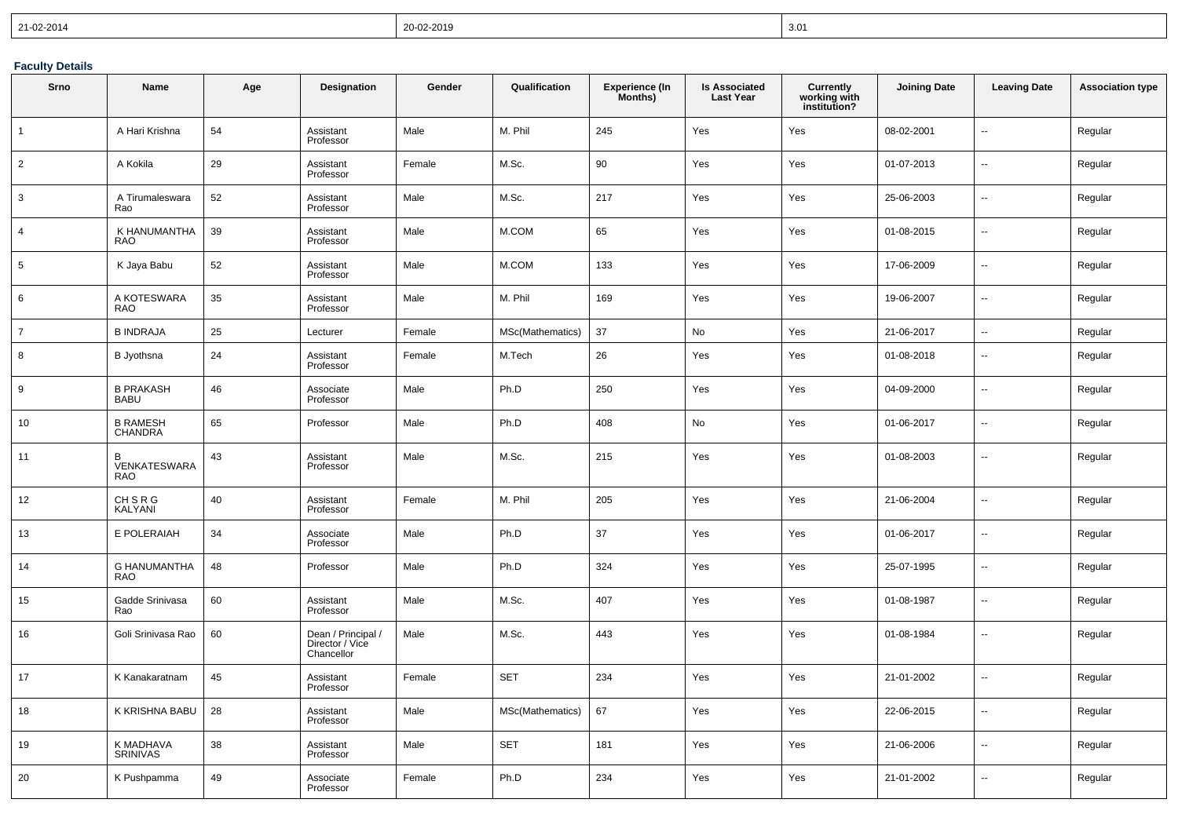| 21-02-2014 | 20-02-2019 | 3.01 |
|------------|------------|------|
|------------|------------|------|

## **Faculty Details**

| Srno           | <b>Name</b>                       | Age | Designation                                         | Gender | Qualification    | <b>Experience (In</b><br>Months) | <b>Is Associated</b><br><b>Last Year</b> | <b>Currently</b><br>working with<br>institution? | <b>Joining Date</b> | <b>Leaving Date</b>      | <b>Association type</b> |
|----------------|-----------------------------------|-----|-----------------------------------------------------|--------|------------------|----------------------------------|------------------------------------------|--------------------------------------------------|---------------------|--------------------------|-------------------------|
| $\overline{1}$ | A Hari Krishna                    | 54  | Assistant<br>Professor                              | Male   | M. Phil          | 245                              | Yes                                      | Yes                                              | 08-02-2001          | Ξ.                       | Regular                 |
| 2              | A Kokila                          | 29  | Assistant<br>Professor                              | Female | M.Sc.            | 90                               | Yes                                      | Yes                                              | 01-07-2013          | Ξ.                       | Regular                 |
| 3              | A Tirumaleswara<br>Rao            | 52  | Assistant<br>Professor                              | Male   | M.Sc.            | 217                              | Yes                                      | Yes                                              | 25-06-2003          | Ξ.                       | Regular                 |
| $\overline{4}$ | K HANUMANTHA<br><b>RAO</b>        | 39  | Assistant<br>Professor                              | Male   | M.COM            | 65                               | Yes                                      | Yes                                              | 01-08-2015          | --                       | Regular                 |
| 5              | K Jaya Babu                       | 52  | Assistant<br>Professor                              | Male   | M.COM            | 133                              | Yes                                      | Yes                                              | 17-06-2009          | ÷.                       | Regular                 |
| 6              | A KOTESWARA<br><b>RAO</b>         | 35  | Assistant<br>Professor                              | Male   | M. Phil          | 169                              | Yes                                      | Yes                                              | 19-06-2007          | ä.                       | Regular                 |
| $\overline{7}$ | <b>B INDRAJA</b>                  | 25  | Lecturer                                            | Female | MSc(Mathematics) | 37                               | No                                       | Yes                                              | 21-06-2017          | $\ddotsc$                | Regular                 |
| 8              | B Jyothsna                        | 24  | Assistant<br>Professor                              | Female | M.Tech           | 26                               | Yes                                      | Yes                                              | 01-08-2018          | ц.                       | Regular                 |
| 9              | <b>B PRAKASH</b><br><b>BABU</b>   | 46  | Associate<br>Professor                              | Male   | Ph.D             | 250                              | Yes                                      | Yes                                              | 04-09-2000          | Ξ.                       | Regular                 |
| 10             | <b>B RAMESH</b><br><b>CHANDRA</b> | 65  | Professor                                           | Male   | Ph.D             | 408                              | No                                       | Yes                                              | 01-06-2017          | ä.                       | Regular                 |
| 11             | B<br>VENKATESWARA<br><b>RAO</b>   | 43  | Assistant<br>Professor                              | Male   | M.Sc.            | 215                              | Yes                                      | Yes                                              | 01-08-2003          | ц.                       | Regular                 |
| 12             | <b>CHSRG</b><br>KALYANI           | 40  | Assistant<br>Professor                              | Female | M. Phil          | 205                              | Yes                                      | Yes                                              | 21-06-2004          | $\overline{\phantom{a}}$ | Regular                 |
| 13             | E POLERAIAH                       | 34  | Associate<br>Professor                              | Male   | Ph.D             | 37                               | Yes                                      | Yes                                              | 01-06-2017          | Ξ.                       | Regular                 |
| 14             | <b>G HANUMANTHA</b><br><b>RAO</b> | 48  | Professor                                           | Male   | Ph.D             | 324                              | Yes                                      | Yes                                              | 25-07-1995          | Ξ.                       | Regular                 |
| 15             | Gadde Srinivasa<br>Rao            | 60  | Assistant<br>Professor                              | Male   | M.Sc.            | 407                              | Yes                                      | Yes                                              | 01-08-1987          | Ξ.                       | Regular                 |
| 16             | Goli Srinivasa Rao                | 60  | Dean / Principal /<br>Director / Vice<br>Chancellor | Male   | M.Sc.            | 443                              | Yes                                      | Yes                                              | 01-08-1984          | Ξ.                       | Regular                 |
| 17             | K Kanakaratnam                    | 45  | Assistant<br>Professor                              | Female | <b>SET</b>       | 234                              | Yes                                      | Yes                                              | 21-01-2002          | Ξ.                       | Regular                 |
| 18             | K KRISHNA BABU                    | 28  | Assistant<br>Professor                              | Male   | MSc(Mathematics) | 67                               | Yes                                      | Yes                                              | 22-06-2015          | ä.                       | Regular                 |
| 19             | K MADHAVA<br><b>SRINIVAS</b>      | 38  | Assistant<br>Professor                              | Male   | <b>SET</b>       | 181                              | Yes                                      | Yes                                              | 21-06-2006          | ц.                       | Regular                 |
| 20             | K Pushpamma                       | 49  | Associate<br>Professor                              | Female | Ph.D             | 234                              | Yes                                      | Yes                                              | 21-01-2002          | $\ddotsc$                | Regular                 |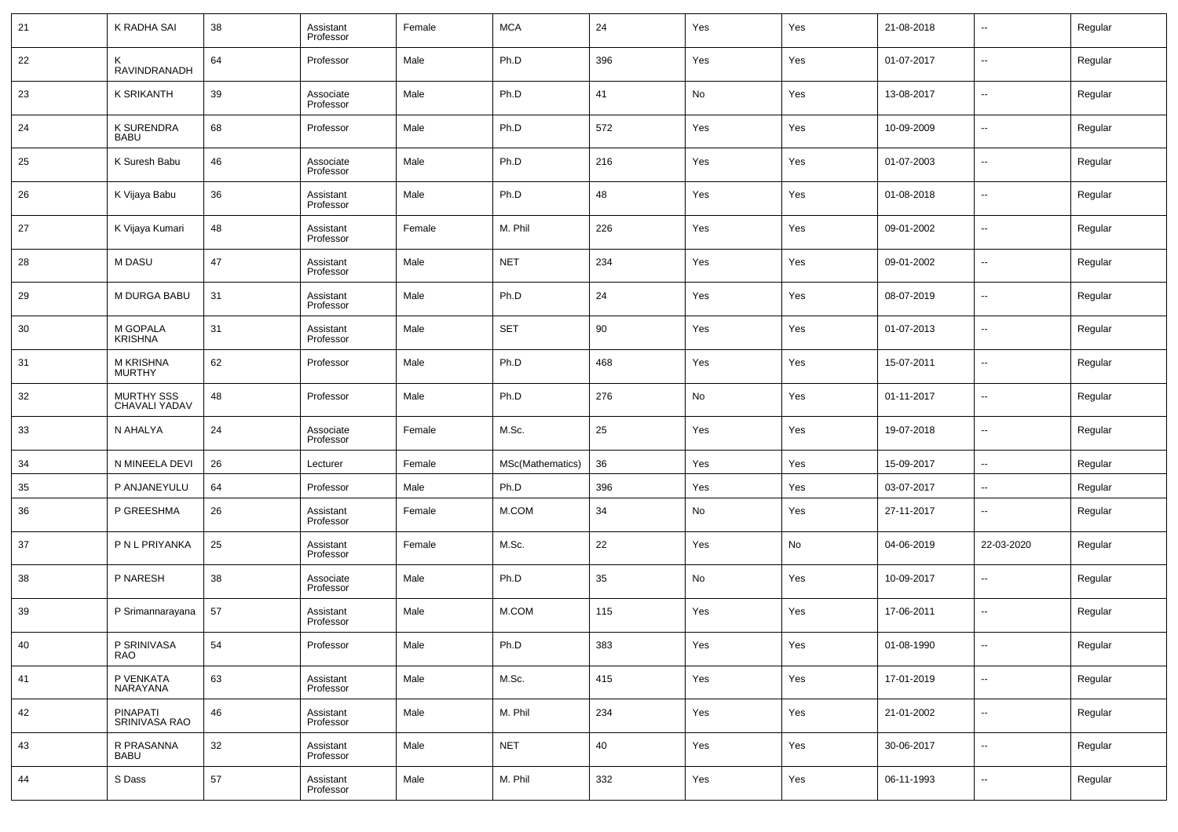| 21 | K RADHA SAI                       | 38 | Assistant<br>Professor | Female | <b>MCA</b>       | 24  | Yes | Yes | 21-08-2018 | --                       | Regular |
|----|-----------------------------------|----|------------------------|--------|------------------|-----|-----|-----|------------|--------------------------|---------|
| 22 | K<br>RAVINDRANADH                 | 64 | Professor              | Male   | Ph.D             | 396 | Yes | Yes | 01-07-2017 | --                       | Regular |
| 23 | <b>K SRIKANTH</b>                 | 39 | Associate<br>Professor | Male   | Ph.D             | 41  | No  | Yes | 13-08-2017 | --                       | Regular |
| 24 | <b>K SURENDRA</b><br><b>BABU</b>  | 68 | Professor              | Male   | Ph.D             | 572 | Yes | Yes | 10-09-2009 | --                       | Regular |
| 25 | K Suresh Babu                     | 46 | Associate<br>Professor | Male   | Ph.D             | 216 | Yes | Yes | 01-07-2003 | --                       | Regular |
| 26 | K Vijaya Babu                     | 36 | Assistant<br>Professor | Male   | Ph.D             | 48  | Yes | Yes | 01-08-2018 | --                       | Regular |
| 27 | K Vijaya Kumari                   | 48 | Assistant<br>Professor | Female | M. Phil          | 226 | Yes | Yes | 09-01-2002 | --                       | Regular |
| 28 | M DASU                            | 47 | Assistant<br>Professor | Male   | <b>NET</b>       | 234 | Yes | Yes | 09-01-2002 | --                       | Regular |
| 29 | <b>M DURGA BABU</b>               | 31 | Assistant<br>Professor | Male   | Ph.D             | 24  | Yes | Yes | 08-07-2019 | --                       | Regular |
| 30 | M GOPALA<br><b>KRISHNA</b>        | 31 | Assistant<br>Professor | Male   | <b>SET</b>       | 90  | Yes | Yes | 01-07-2013 | --                       | Regular |
| 31 | <b>M KRISHNA</b><br><b>MURTHY</b> | 62 | Professor              | Male   | Ph.D             | 468 | Yes | Yes | 15-07-2011 | --                       | Regular |
| 32 | MURTHY SSS<br>CHAVALI YADAV       | 48 | Professor              | Male   | Ph.D             | 276 | No  | Yes | 01-11-2017 | --                       | Regular |
| 33 | N AHALYA                          | 24 | Associate<br>Professor | Female | M.Sc.            | 25  | Yes | Yes | 19-07-2018 | --                       | Regular |
| 34 | N MINEELA DEVI                    | 26 | Lecturer               | Female | MSc(Mathematics) | 36  | Yes | Yes | 15-09-2017 | $\sim$                   | Regular |
| 35 | P ANJANEYULU                      | 64 | Professor              | Male   | Ph.D             | 396 | Yes | Yes | 03-07-2017 | $\sim$                   | Regular |
| 36 | P GREESHMA                        | 26 | Assistant<br>Professor | Female | M.COM            | 34  | No  | Yes | 27-11-2017 | --                       | Regular |
| 37 | P N L PRIYANKA                    | 25 | Assistant<br>Professor | Female | M.Sc.            | 22  | Yes | No  | 04-06-2019 | 22-03-2020               | Regular |
| 38 | P NARESH                          | 38 | Associate<br>Professor | Male   | Ph.D             | 35  | No  | Yes | 10-09-2017 | --                       | Regular |
| 39 | P Srimannarayana                  | 57 | Assistant<br>Professor | Male   | M.COM            | 115 | Yes | Yes | 17-06-2011 | --                       | Regular |
| 40 | P SRINIVASA<br>RAO                | 54 | Professor              | Male   | Ph.D             | 383 | Yes | Yes | 01-08-1990 | $\overline{\phantom{a}}$ | Regular |
| 41 | P VENKATA<br>NARAYANA             | 63 | Assistant<br>Professor | Male   | M.Sc.            | 415 | Yes | Yes | 17-01-2019 | $\overline{\phantom{a}}$ | Regular |
| 42 | PINAPATI<br>SRINIVASA RAO         | 46 | Assistant<br>Professor | Male   | M. Phil          | 234 | Yes | Yes | 21-01-2002 | $\sim$                   | Regular |
| 43 | R PRASANNA<br><b>BABU</b>         | 32 | Assistant<br>Professor | Male   | <b>NET</b>       | 40  | Yes | Yes | 30-06-2017 | $\overline{\phantom{a}}$ | Regular |
| 44 | S Dass                            | 57 | Assistant<br>Professor | Male   | M. Phil          | 332 | Yes | Yes | 06-11-1993 | $\sim$                   | Regular |